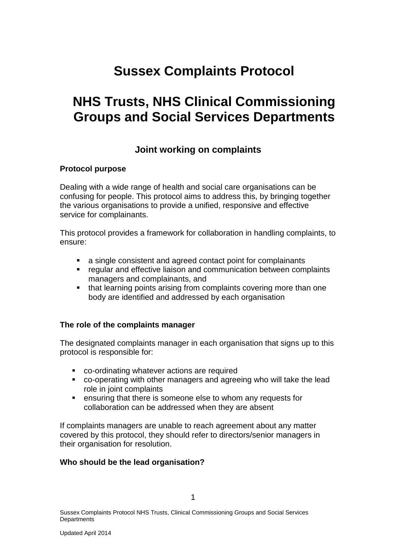## **Sussex Complaints Protocol**

# **NHS Trusts, NHS Clinical Commissioning Groups and Social Services Departments**

### **Joint working on complaints**

#### **Protocol purpose**

Dealing with a wide range of health and social care organisations can be confusing for people. This protocol aims to address this, by bringing together the various organisations to provide a unified, responsive and effective service for complainants.

This protocol provides a framework for collaboration in handling complaints, to ensure:

- a single consistent and agreed contact point for complainants
- **•** regular and effective liaison and communication between complaints managers and complainants, and
- that learning points arising from complaints covering more than one body are identified and addressed by each organisation

#### **The role of the complaints manager**

The designated complaints manager in each organisation that signs up to this protocol is responsible for:

- co-ordinating whatever actions are required
- co-operating with other managers and agreeing who will take the lead role in joint complaints
- ensuring that there is someone else to whom any requests for collaboration can be addressed when they are absent

If complaints managers are unable to reach agreement about any matter covered by this protocol, they should refer to directors/senior managers in their organisation for resolution.

#### **Who should be the lead organisation?**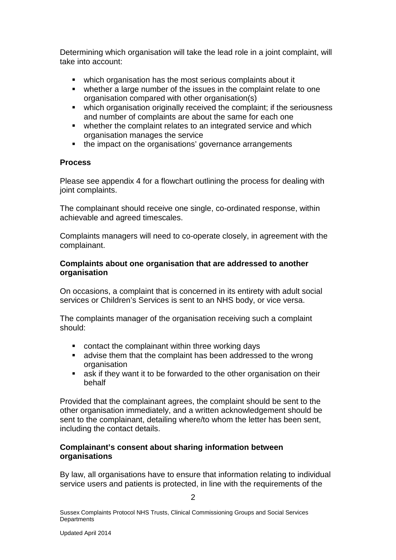Determining which organisation will take the lead role in a joint complaint, will take into account:

- which organisation has the most serious complaints about it
- whether a large number of the issues in the complaint relate to one organisation compared with other organisation(s)
- which organisation originally received the complaint; if the seriousness and number of complaints are about the same for each one
- whether the complaint relates to an integrated service and which organisation manages the service
- the impact on the organisations' governance arrangements

#### **Process**

Please see appendix 4 for a flowchart outlining the process for dealing with joint complaints.

The complainant should receive one single, co-ordinated response, within achievable and agreed timescales.

Complaints managers will need to co-operate closely, in agreement with the complainant.

#### **Complaints about one organisation that are addressed to another organisation**

On occasions, a complaint that is concerned in its entirety with adult social services or Children's Services is sent to an NHS body, or vice versa.

The complaints manager of the organisation receiving such a complaint should:

- **contact the complainant within three working days**
- advise them that the complaint has been addressed to the wrong organisation
- ask if they want it to be forwarded to the other organisation on their behalf

Provided that the complainant agrees, the complaint should be sent to the other organisation immediately, and a written acknowledgement should be sent to the complainant, detailing where/to whom the letter has been sent, including the contact details.

#### **Complainant's consent about sharing information between organisations**

By law, all organisations have to ensure that information relating to individual service users and patients is protected, in line with the requirements of the

Sussex Complaints Protocol NHS Trusts, Clinical Commissioning Groups and Social Services **Departments**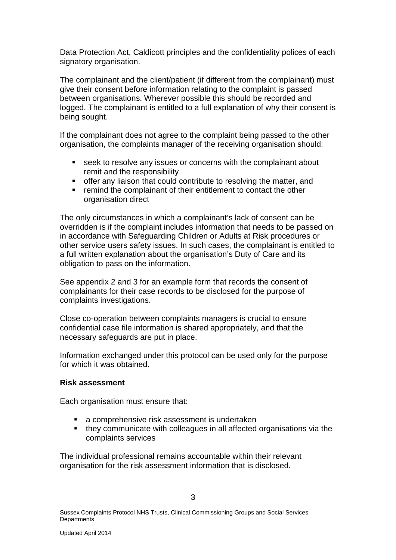Data Protection Act, Caldicott principles and the confidentiality polices of each signatory organisation.

The complainant and the client/patient (if different from the complainant) must give their consent before information relating to the complaint is passed between organisations. Wherever possible this should be recorded and logged. The complainant is entitled to a full explanation of why their consent is being sought.

If the complainant does not agree to the complaint being passed to the other organisation, the complaints manager of the receiving organisation should:

- seek to resolve any issues or concerns with the complainant about remit and the responsibility
- offer any liaison that could contribute to resolving the matter, and
- **F** remind the complainant of their entitlement to contact the other organisation direct

The only circumstances in which a complainant's lack of consent can be overridden is if the complaint includes information that needs to be passed on in accordance with Safeguarding Children or Adults at Risk procedures or other service users safety issues. In such cases, the complainant is entitled to a full written explanation about the organisation's Duty of Care and its obligation to pass on the information.

See appendix 2 and 3 for an example form that records the consent of complainants for their case records to be disclosed for the purpose of complaints investigations.

Close co-operation between complaints managers is crucial to ensure confidential case file information is shared appropriately, and that the necessary safeguards are put in place.

Information exchanged under this protocol can be used only for the purpose for which it was obtained.

#### **Risk assessment**

Each organisation must ensure that:

- a comprehensive risk assessment is undertaken
- they communicate with colleagues in all affected organisations via the complaints services

The individual professional remains accountable within their relevant organisation for the risk assessment information that is disclosed.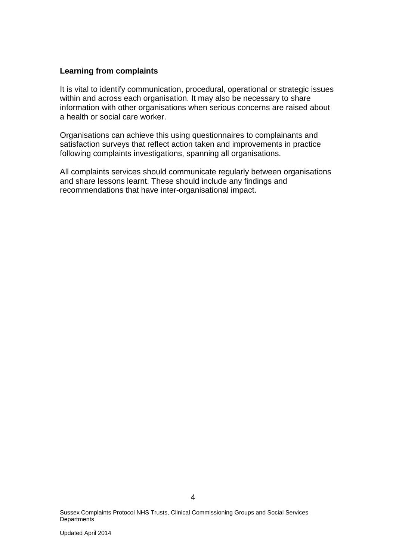#### **Learning from complaints**

It is vital to identify communication, procedural, operational or strategic issues within and across each organisation. It may also be necessary to share information with other organisations when serious concerns are raised about a health or social care worker.

Organisations can achieve this using questionnaires to complainants and satisfaction surveys that reflect action taken and improvements in practice following complaints investigations, spanning all organisations.

All complaints services should communicate regularly between organisations and share lessons learnt. These should include any findings and recommendations that have inter-organisational impact.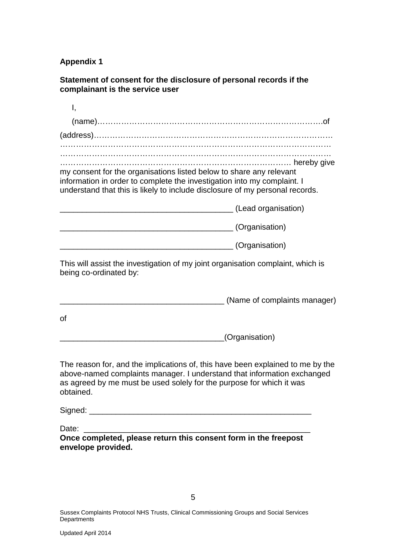**Appendix 1** 

**Statement of consent for the disclosure of personal records if the complainant is the service user** 

| Ι,                                                                                                                                                                                                                                             |
|------------------------------------------------------------------------------------------------------------------------------------------------------------------------------------------------------------------------------------------------|
|                                                                                                                                                                                                                                                |
|                                                                                                                                                                                                                                                |
|                                                                                                                                                                                                                                                |
|                                                                                                                                                                                                                                                |
| my consent for the organisations listed below to share any relevant<br>information in order to complete the investigation into my complaint. I<br>understand that this is likely to include disclosure of my personal records.                 |
|                                                                                                                                                                                                                                                |
| ________________________________(Organisation)                                                                                                                                                                                                 |
| (Organisation)                                                                                                                                                                                                                                 |
| This will assist the investigation of my joint organisation complaint, which is<br>being co-ordinated by:                                                                                                                                      |
| (Name of complaints manager)                                                                                                                                                                                                                   |
| 0f                                                                                                                                                                                                                                             |
| (Organisation)                                                                                                                                                                                                                                 |
| The reason for, and the implications of, this have been explained to me by the<br>above-named complaints manager. I understand that information exchanged<br>as agreed by me must be used solely for the purpose for which it was<br>obtained. |
|                                                                                                                                                                                                                                                |
| Date:                                                                                                                                                                                                                                          |
| Once completed, please return this consent form in the freepost                                                                                                                                                                                |

**envelope provided.** 

 $\sim$  5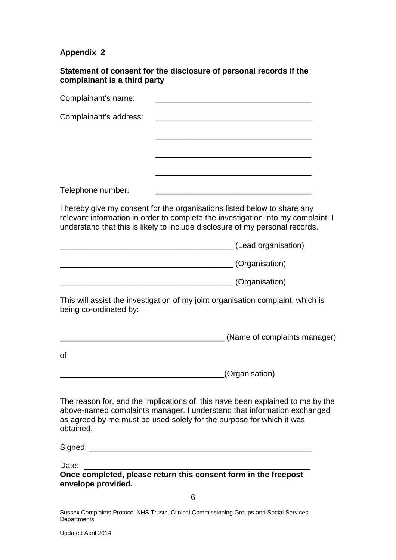## **Appendix 2**

**Statement of consent for the disclosure of personal records if the complainant is a third party** 

| Complainant's name:         |                                                                                                                                                                                                                                              |
|-----------------------------|----------------------------------------------------------------------------------------------------------------------------------------------------------------------------------------------------------------------------------------------|
| Complainant's address:      |                                                                                                                                                                                                                                              |
|                             |                                                                                                                                                                                                                                              |
|                             |                                                                                                                                                                                                                                              |
|                             |                                                                                                                                                                                                                                              |
| Telephone number:           |                                                                                                                                                                                                                                              |
|                             | I hereby give my consent for the organisations listed below to share any<br>relevant information in order to complete the investigation into my complaint. I<br>understand that this is likely to include disclosure of my personal records. |
|                             | (Lead organisation)                                                                                                                                                                                                                          |
|                             | (Organisation)                                                                                                                                                                                                                               |
|                             | (Organisation)                                                                                                                                                                                                                               |
| being co-ordinated by:      | This will assist the investigation of my joint organisation complaint, which is                                                                                                                                                              |
|                             | (Name of complaints manager)                                                                                                                                                                                                                 |
| 0f                          |                                                                                                                                                                                                                                              |
|                             | (Organisation)                                                                                                                                                                                                                               |
| obtained.                   | The reason for, and the implications of, this have been explained to me by the<br>above-named complaints manager. I understand that information exchanged<br>as agreed by me must be used solely for the purpose for which it was            |
|                             |                                                                                                                                                                                                                                              |
| Date:<br>envelope provided. | Once completed, please return this consent form in the freepost                                                                                                                                                                              |
| 6                           |                                                                                                                                                                                                                                              |
|                             | Destacal MIJO Terrata, Olivical Oceania                                                                                                                                                                                                      |

Sussex Complaints Protocol NHS Trusts, Clinical Commissioning Groups and Social Services Departments<sup>'</sup>